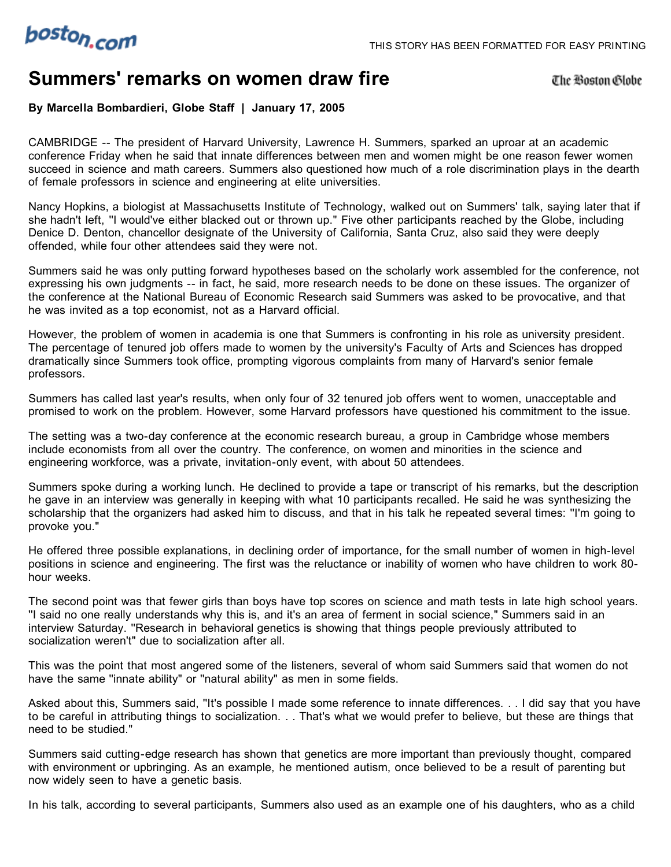

## **Summers' remarks on women draw fire**

The Boston Globe

**By Marcella Bombardieri, Globe Staff | January 17, 2005**

CAMBRIDGE -- The president of Harvard University, Lawrence H. Summers, sparked an uproar at an academic conference Friday when he said that innate differences between men and women might be one reason fewer women succeed in science and math careers. Summers also questioned how much of a role discrimination plays in the dearth of female professors in science and engineering at elite universities.

Nancy Hopkins, a biologist at Massachusetts Institute of Technology, walked out on Summers' talk, saying later that if she hadn't left, ''I would've either blacked out or thrown up." Five other participants reached by the Globe, including Denice D. Denton, chancellor designate of the University of California, Santa Cruz, also said they were deeply offended, while four other attendees said they were not.

Summers said he was only putting forward hypotheses based on the scholarly work assembled for the conference, not expressing his own judgments -- in fact, he said, more research needs to be done on these issues. The organizer of the conference at the National Bureau of Economic Research said Summers was asked to be provocative, and that he was invited as a top economist, not as a Harvard official.

However, the problem of women in academia is one that Summers is confronting in his role as university president. The percentage of tenured job offers made to women by the university's Faculty of Arts and Sciences has dropped dramatically since Summers took office, prompting vigorous complaints from many of Harvard's senior female professors.

Summers has called last year's results, when only four of 32 tenured job offers went to women, unacceptable and promised to work on the problem. However, some Harvard professors have questioned his commitment to the issue.

The setting was a two-day conference at the economic research bureau, a group in Cambridge whose members include economists from all over the country. The conference, on women and minorities in the science and engineering workforce, was a private, invitation-only event, with about 50 attendees.

Summers spoke during a working lunch. He declined to provide a tape or transcript of his remarks, but the description he gave in an interview was generally in keeping with what 10 participants recalled. He said he was synthesizing the scholarship that the organizers had asked him to discuss, and that in his talk he repeated several times: ''I'm going to provoke you."

He offered three possible explanations, in declining order of importance, for the small number of women in high-level positions in science and engineering. The first was the reluctance or inability of women who have children to work 80 hour weeks.

The second point was that fewer girls than boys have top scores on science and math tests in late high school years. ''I said no one really understands why this is, and it's an area of ferment in social science," Summers said in an interview Saturday. ''Research in behavioral genetics is showing that things people previously attributed to socialization weren't" due to socialization after all.

This was the point that most angered some of the listeners, several of whom said Summers said that women do not have the same ''innate ability" or ''natural ability" as men in some fields.

Asked about this, Summers said, ''It's possible I made some reference to innate differences. . . I did say that you have to be careful in attributing things to socialization. . . That's what we would prefer to believe, but these are things that need to be studied."

Summers said cutting-edge research has shown that genetics are more important than previously thought, compared with environment or upbringing. As an example, he mentioned autism, once believed to be a result of parenting but now widely seen to have a genetic basis.

In his talk, according to several participants, Summers also used as an example one of his daughters, who as a child